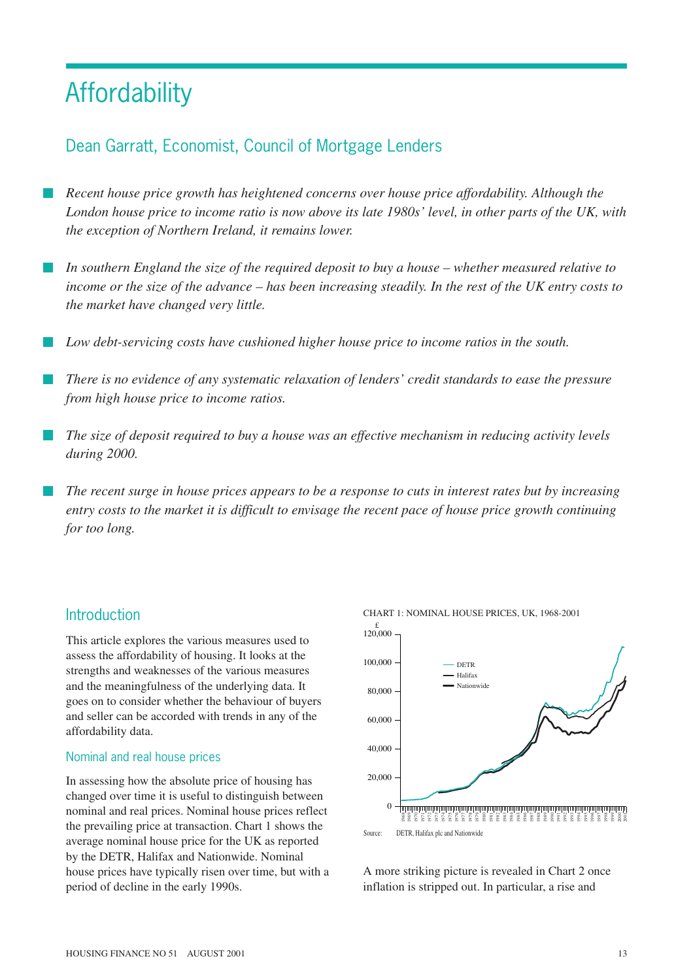# **Affordability**

## Dean Garratt, Economist, Council of Mortgage Lenders

- *Recent house price growth has heightened concerns over house price affordability. Although the London house price to income ratio is now above its late 1980s' level, in other parts of the UK, with the exception of Northern Ireland, it remains lower.*
- *In southern England the size of the required deposit to buy a house whether measured relative to income or the size of the advance – has been increasing steadily. In the rest of the UK entry costs to the market have changed very little.*
- *Low debt-servicing costs have cushioned higher house price to income ratios in the south.*
- *There is no evidence of any systematic relaxation of lenders' credit standards to ease the pressure from high house price to income ratios.*
- *The size of deposit required to buy a house was an effective mechanism in reducing activity levels during 2000.*
- *The recent surge in house prices appears to be a response to cuts in interest rates but by increasing entry costs to the market it is difficult to envisage the recent pace of house price growth continuing for too long.*

## **Introduction**

This article explores the various measures used to assess the affordability of housing. It looks at the strengths and weaknesses of the various measures and the meaningfulness of the underlying data. It goes on to consider whether the behaviour of buyers and seller can be accorded with trends in any of the affordability data.

#### Nominal and real house prices

In assessing how the absolute price of housing has changed over time it is useful to distinguish between nominal and real prices. Nominal house prices reflect the prevailing price at transaction. Chart 1 shows the average nominal house price for the UK as reported by the DETR, Halifax and Nationwide. Nominal house prices have typically risen over time, but with a period of decline in the early 1990s.



A more striking picture is revealed in Chart 2 once inflation is stripped out. In particular, a rise and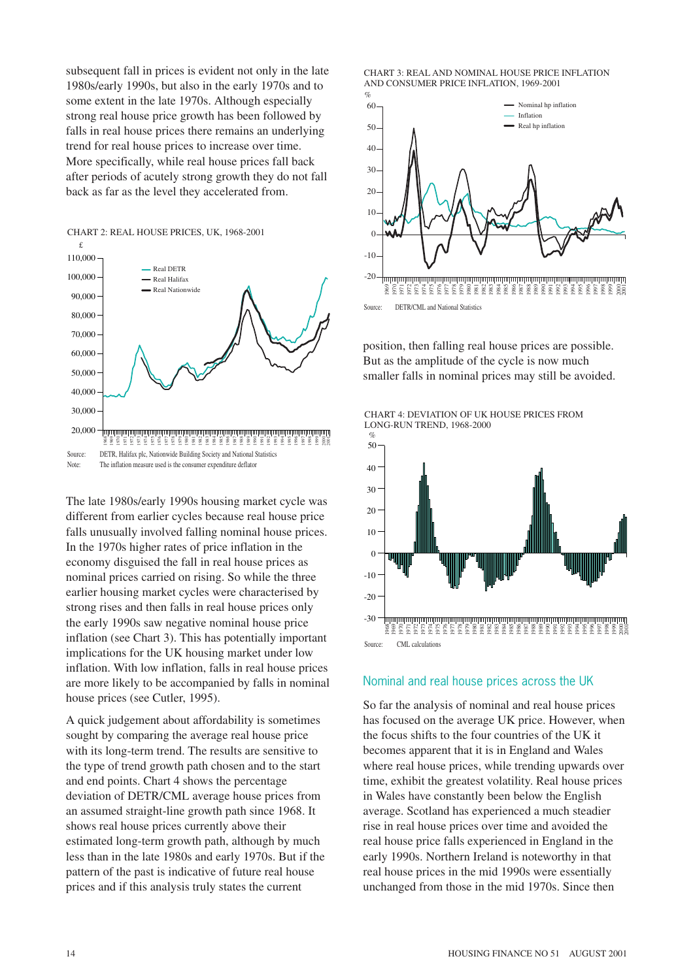subsequent fall in prices is evident not only in the late 1980s/early 1990s, but also in the early 1970s and to some extent in the late 1970s. Although especially strong real house price growth has been followed by falls in real house prices there remains an underlying trend for real house prices to increase over time. More specifically, while real house prices fall back after periods of acutely strong growth they do not fall back as far as the level they accelerated from.



The late 1980s/early 1990s housing market cycle was different from earlier cycles because real house price falls unusually involved falling nominal house prices. In the 1970s higher rates of price inflation in the economy disguised the fall in real house prices as nominal prices carried on rising. So while the three earlier housing market cycles were characterised by strong rises and then falls in real house prices only the early 1990s saw negative nominal house price inflation (see Chart 3). This has potentially important implications for the UK housing market under low inflation. With low inflation, falls in real house prices are more likely to be accompanied by falls in nominal house prices (see Cutler, 1995).

A quick judgement about affordability is sometimes sought by comparing the average real house price with its long-term trend. The results are sensitive to the type of trend growth path chosen and to the start and end points. Chart 4 shows the percentage deviation of DETR/CML average house prices from an assumed straight-line growth path since 1968. It shows real house prices currently above their estimated long-term growth path, although by much less than in the late 1980s and early 1970s. But if the pattern of the past is indicative of future real house prices and if this analysis truly states the current





position, then falling real house prices are possible. But as the amplitude of the cycle is now much smaller falls in nominal prices may still be avoided.





#### Nominal and real house prices across the UK

So far the analysis of nominal and real house prices has focused on the average UK price. However, when the focus shifts to the four countries of the UK it becomes apparent that it is in England and Wales where real house prices, while trending upwards over time, exhibit the greatest volatility. Real house prices in Wales have constantly been below the English average. Scotland has experienced a much steadier rise in real house prices over time and avoided the real house price falls experienced in England in the early 1990s. Northern Ireland is noteworthy in that real house prices in the mid 1990s were essentially unchanged from those in the mid 1970s. Since then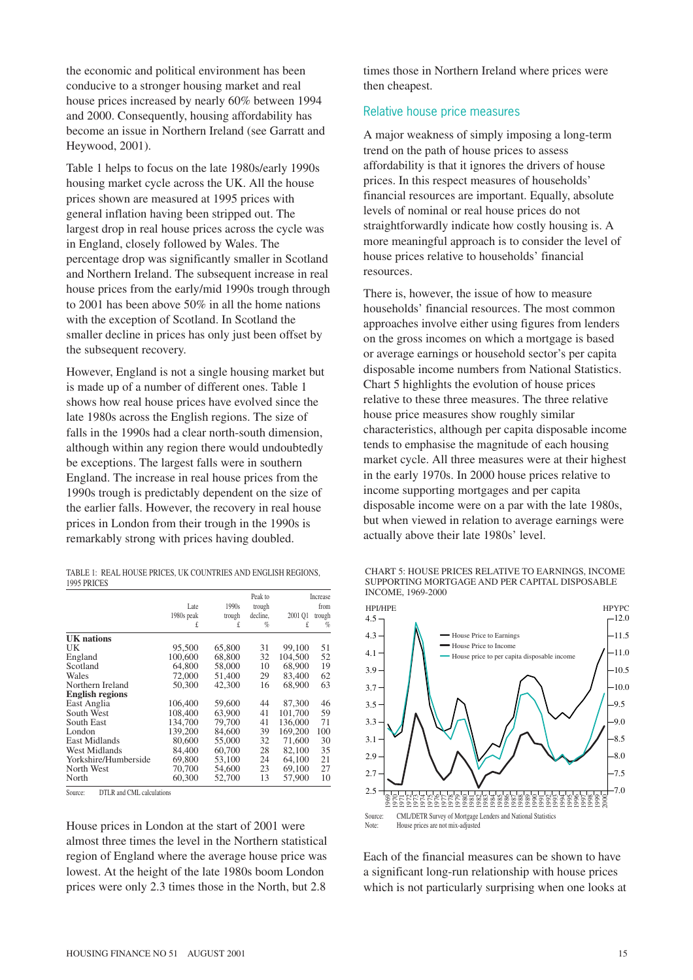the economic and political environment has been conducive to a stronger housing market and real house prices increased by nearly 60% between 1994 and 2000. Consequently, housing affordability has become an issue in Northern Ireland (see Garratt and Heywood, 2001).

Table 1 helps to focus on the late 1980s/early 1990s housing market cycle across the UK. All the house prices shown are measured at 1995 prices with general inflation having been stripped out. The largest drop in real house prices across the cycle was in England, closely followed by Wales. The percentage drop was significantly smaller in Scotland and Northern Ireland. The subsequent increase in real house prices from the early/mid 1990s trough through to 2001 has been above 50% in all the home nations with the exception of Scotland. In Scotland the smaller decline in prices has only just been offset by the subsequent recovery.

However, England is not a single housing market but is made up of a number of different ones. Table 1 shows how real house prices have evolved since the late 1980s across the English regions. The size of falls in the 1990s had a clear north-south dimension, although within any region there would undoubtedly be exceptions. The largest falls were in southern England. The increase in real house prices from the 1990s trough is predictably dependent on the size of the earlier falls. However, the recovery in real house prices in London from their trough in the 1990s is remarkably strong with prices having doubled.

| TABLE 1: REAL HOUSE PRICES. UK COUNTRIES AND ENGLISH REGIONS. |  |  |  |  |  |  |
|---------------------------------------------------------------|--|--|--|--|--|--|
| 1995 PRICES                                                   |  |  |  |  |  |  |

|                        | Late       | 1990s  | Peak to<br>trough |         | Increase<br>from |
|------------------------|------------|--------|-------------------|---------|------------------|
|                        | 1980s peak | trough | decline.          | 2001 Q1 | trough           |
|                        | £          | £      | %                 | £       | $\%$             |
| <b>UK</b> nations      |            |        |                   |         |                  |
| UK                     | 95,500     | 65,800 | 31                | 99,100  | 51               |
| England                | 100,600    | 68,800 | 32                | 104.500 | 52               |
| Scotland               | 64,800     | 58,000 | 10                | 68,900  | 19               |
| Wales                  | 72,000     | 51,400 | 29                | 83,400  | 62               |
| Northern Ireland       | 50,300     | 42,300 | 16                | 68,900  | 63               |
| <b>English regions</b> |            |        |                   |         |                  |
| East Anglia            | 106,400    | 59,600 | 44                | 87,300  | 46               |
| South West             | 108,400    | 63,900 | 41                | 101.700 | 59               |
| South East             | 134,700    | 79,700 | 41                | 136,000 | 71               |
| London                 | 139,200    | 84.600 | 39                | 169,200 | 100              |
| East Midlands          | 80,600     | 55,000 | 32                | 71,600  | 30               |
| <b>West Midlands</b>   | 84,400     | 60,700 | 28                | 82.100  | 35               |
| Yorkshire/Humberside   | 69,800     | 53,100 | 24                | 64,100  | 21               |
| North West             | 70,700     | 54,600 | 23                | 69.100  | 27               |
| North                  | 60,300     | 52,700 | 13                | 57,900  | 10               |

Source: DTLR and CML calculations

House prices in London at the start of 2001 were almost three times the level in the Northern statistical region of England where the average house price was lowest. At the height of the late 1980s boom London prices were only 2.3 times those in the North, but 2.8 times those in Northern Ireland where prices were then cheapest.

## Relative house price measures

A major weakness of simply imposing a long-term trend on the path of house prices to assess affordability is that it ignores the drivers of house prices. In this respect measures of households' financial resources are important. Equally, absolute levels of nominal or real house prices do not straightforwardly indicate how costly housing is. A more meaningful approach is to consider the level of house prices relative to households' financial resources.

There is, however, the issue of how to measure households' financial resources. The most common approaches involve either using figures from lenders on the gross incomes on which a mortgage is based or average earnings or household sector's per capita disposable income numbers from National Statistics. Chart 5 highlights the evolution of house prices relative to these three measures. The three relative house price measures show roughly similar characteristics, although per capita disposable income tends to emphasise the magnitude of each housing market cycle. All three measures were at their highest in the early 1970s. In 2000 house prices relative to income supporting mortgages and per capita disposable income were on a par with the late 1980s, but when viewed in relation to average earnings were actually above their late 1980s' level.





Each of the financial measures can be shown to have a significant long-run relationship with house prices which is not particularly surprising when one looks at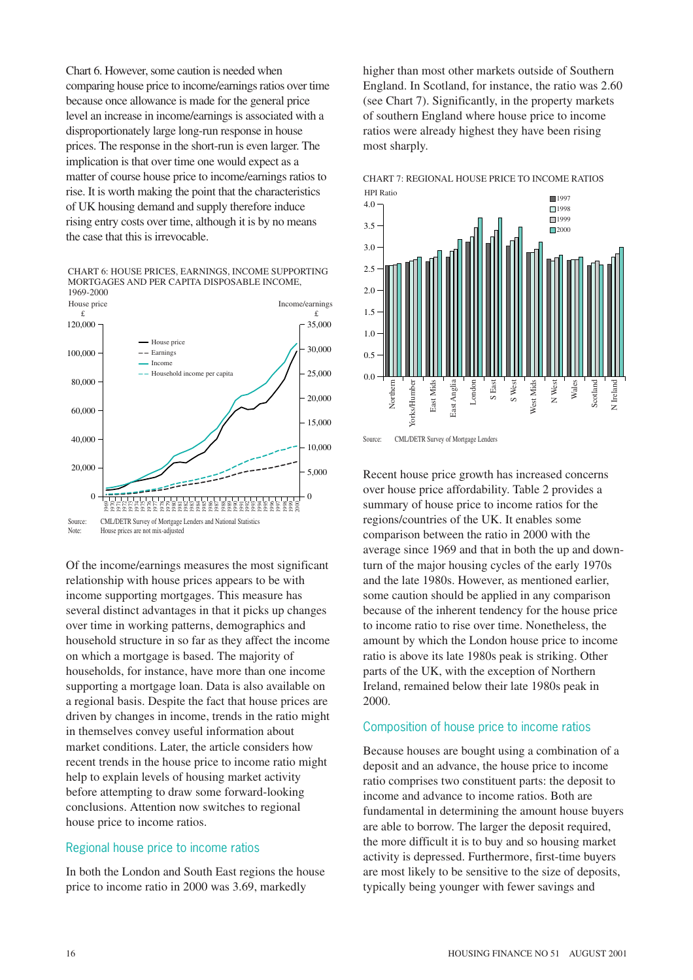Chart 6. However, some caution is needed when comparing house price to income/earnings ratios over time because once allowance is made for the general price level an increase in income/earnings is associated with a disproportionately large long-run response in house prices. The response in the short-run is even larger. The implication is that over time one would expect as a matter of course house price to income/earnings ratios to rise. It is worth making the point that the characteristics of UK housing demand and supply therefore induce rising entry costs over time, although it is by no means the case that this is irrevocable.

CHART 6: HOUSE PRICES, EARNINGS, INCOME SUPPORTING MORTGAGES AND PER CAPITA DISPOSABLE INCOME, 1969-2000



Of the income/earnings measures the most significant relationship with house prices appears to be with income supporting mortgages. This measure has several distinct advantages in that it picks up changes over time in working patterns, demographics and household structure in so far as they affect the income on which a mortgage is based. The majority of households, for instance, have more than one income supporting a mortgage loan. Data is also available on a regional basis. Despite the fact that house prices are driven by changes in income, trends in the ratio might in themselves convey useful information about market conditions. Later, the article considers how recent trends in the house price to income ratio might help to explain levels of housing market activity before attempting to draw some forward-looking conclusions. Attention now switches to regional house price to income ratios.

#### Regional house price to income ratios

In both the London and South East regions the house price to income ratio in 2000 was 3.69, markedly

higher than most other markets outside of Southern England. In Scotland, for instance, the ratio was 2.60 (see Chart 7). Significantly, in the property markets of southern England where house price to income ratios were already highest they have been rising most sharply.







Recent house price growth has increased concerns over house price affordability. Table 2 provides a summary of house price to income ratios for the regions/countries of the UK. It enables some comparison between the ratio in 2000 with the average since 1969 and that in both the up and downturn of the major housing cycles of the early 1970s and the late 1980s. However, as mentioned earlier, some caution should be applied in any comparison because of the inherent tendency for the house price to income ratio to rise over time. Nonetheless, the amount by which the London house price to income ratio is above its late 1980s peak is striking. Other parts of the UK, with the exception of Northern Ireland, remained below their late 1980s peak in 2000.

#### Composition of house price to income ratios

Because houses are bought using a combination of a deposit and an advance, the house price to income ratio comprises two constituent parts: the deposit to income and advance to income ratios. Both are fundamental in determining the amount house buyers are able to borrow. The larger the deposit required, the more difficult it is to buy and so housing market activity is depressed. Furthermore, first-time buyers are most likely to be sensitive to the size of deposits, typically being younger with fewer savings and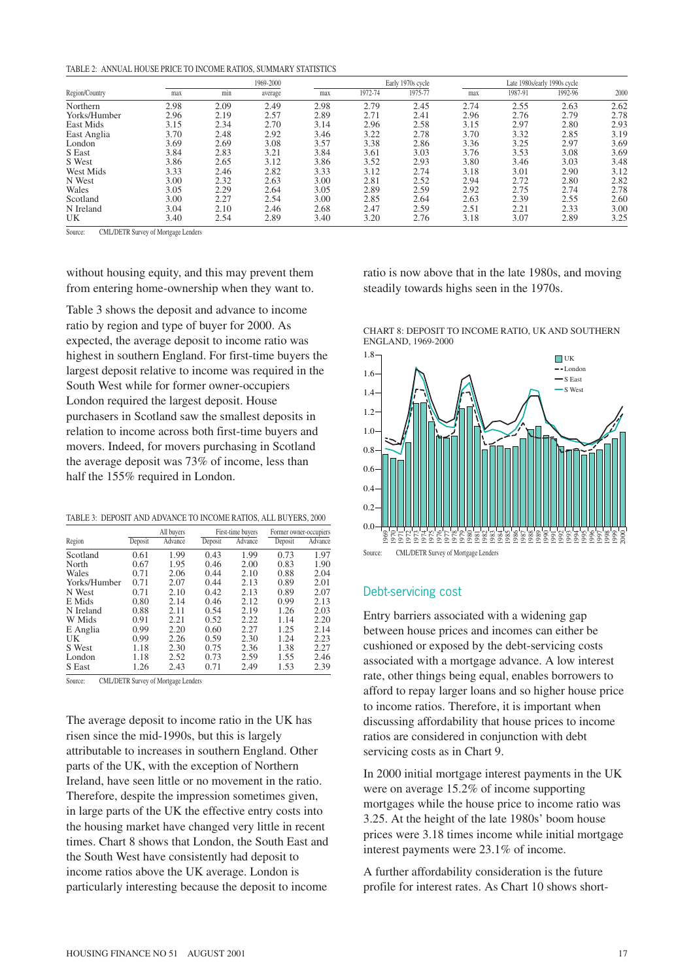|--|

| Region/Country | 1969-2000 |      |         | Early 1970s cycle |         |         | Late 1980s/early 1990s cycle |         |         |      |
|----------------|-----------|------|---------|-------------------|---------|---------|------------------------------|---------|---------|------|
|                | max       | min  | average | max               | 1972-74 | 1975-77 | max                          | 1987-91 | 1992-96 | 2000 |
| Northern       | 2.98      | 2.09 | 2.49    | 2.98              | 2.79    | 2.45    | 2.74                         | 2.55    | 2.63    | 2.62 |
| Yorks/Humber   | 2.96      | 2.19 | 2.57    | 2.89              | 2.71    | 2.41    | 2.96                         | 2.76    | 2.79    | 2.78 |
| East Mids      | 3.15      | 2.34 | 2.70    | 3.14              | 2.96    | 2.58    | 3.15                         | 2.97    | 2.80    | 2.93 |
| East Anglia    | 3.70      | 2.48 | 2.92    | 3.46              | 3.22    | 2.78    | 3.70                         | 3.32    | 2.85    | 3.19 |
| London         | 3.69      | 2.69 | 3.08    | 3.57              | 3.38    | 2.86    | 3.36                         | 3.25    | 2.97    | 3.69 |
| S East         | 3.84      | 2.83 | 3.21    | 3.84              | 3.61    | 3.03    | 3.76                         | 3.53    | 3.08    | 3.69 |
| S West         | 3.86      | 2.65 | 3.12    | 3.86              | 3.52    | 2.93    | 3.80                         | 3.46    | 3.03    | 3.48 |
| West Mids      | 3.33      | 2.46 | 2.82    | 3.33              | 3.12    | 2.74    | 3.18                         | 3.01    | 2.90    | 3.12 |
| N West         | 3.00      | 2.32 | 2.63    | 3.00              | 2.81    | 2.52    | 2.94                         | 2.72    | 2.80    | 2.82 |
| Wales          | 3.05      | 2.29 | 2.64    | 3.05              | 2.89    | 2.59    | 2.92                         | 2.75    | 2.74    | 2.78 |
| Scotland       | 3.00      | 2.27 | 2.54    | 3.00              | 2.85    | 2.64    | 2.63                         | 2.39    | 2.55    | 2.60 |
| N Ireland      | 3.04      | 2.10 | 2.46    | 2.68              | 2.47    | 2.59    | 2.51                         | 2.21    | 2.33    | 3.00 |
| UK             | 3.40      | 2.54 | 2.89    | 3.40              | 3.20    | 2.76    | 3.18                         | 3.07    | 2.89    | 3.25 |

Source: CML/DETR Survey of Mortgage Lenders

without housing equity, and this may prevent them from entering home-ownership when they want to.

Table 3 shows the deposit and advance to income ratio by region and type of buyer for 2000. As expected, the average deposit to income ratio was highest in southern England. For first-time buyers the largest deposit relative to income was required in the South West while for former owner-occupiers London required the largest deposit. House purchasers in Scotland saw the smallest deposits in relation to income across both first-time buyers and movers. Indeed, for movers purchasing in Scotland the average deposit was 73% of income, less than half the 155% required in London.

|  |  |  | TABLE 3: DEPOSIT AND ADVANCE TO INCOME RATIOS, ALL BUYERS, 2000 |  |  |
|--|--|--|-----------------------------------------------------------------|--|--|
|--|--|--|-----------------------------------------------------------------|--|--|

|              |         | All buyers |         | First-time buyers | Former owner-occupiers |         |
|--------------|---------|------------|---------|-------------------|------------------------|---------|
| Region       | Deposit | Advance    | Deposit | Advance           | Deposit                | Advance |
| Scotland     | 0.61    | 1.99       | 0.43    | 1.99              | 0.73                   | 1.97    |
| North        | 0.67    | 1.95       | 0.46    | 2.00              | 0.83                   | 1.90    |
| Wales        | 0.71    | 2.06       | 0.44    | 2.10              | 0.88                   | 2.04    |
| Yorks/Humber | 0.71    | 2.07       | 0.44    | 2.13              | 0.89                   | 2.01    |
| N West       | 0.71    | 2.10       | 0.42    | 2.13              | 0.89                   | 2.07    |
| E Mids       | 0.80    | 2.14       | 0.46    | 2.12              | 0.99                   | 2.13    |
| N Ireland    | 0.88    | 2.11       | 0.54    | 2.19              | 1.26                   | 2.03    |
| W Mids       | 0.91    | 2.21       | 0.52    | 2.22              | 1.14                   | 2.20    |
| E Anglia     | 0.99    | 2.20       | 0.60    | 2.27              | 1.25                   | 2.14    |
| UK           | 0.99    | 2.26       | 0.59    | 2.30              | 1.24                   | 2.23    |
| S West       | 1.18    | 2.30       | 0.75    | 2.36              | 1.38                   | 2.27    |
| London       | 1.18    | 2.52       | 0.73    | 2.59              | 1.55                   | 2.46    |
| S East       | 1.26    | 2.43       | 0.71    | 2.49              | 1.53                   | 2.39    |

Source: CML/DETR Survey of Mortgage Lenders

The average deposit to income ratio in the UK has risen since the mid-1990s, but this is largely attributable to increases in southern England. Other parts of the UK, with the exception of Northern Ireland, have seen little or no movement in the ratio. Therefore, despite the impression sometimes given, in large parts of the UK the effective entry costs into the housing market have changed very little in recent times. Chart 8 shows that London, the South East and the South West have consistently had deposit to income ratios above the UK average. London is particularly interesting because the deposit to income

ratio is now above that in the late 1980s, and moving steadily towards highs seen in the 1970s.





#### Debt-servicing cost

Entry barriers associated with a widening gap between house prices and incomes can either be cushioned or exposed by the debt-servicing costs associated with a mortgage advance. A low interest rate, other things being equal, enables borrowers to afford to repay larger loans and so higher house price to income ratios. Therefore, it is important when discussing affordability that house prices to income ratios are considered in conjunction with debt servicing costs as in Chart 9.

In 2000 initial mortgage interest payments in the UK were on average 15.2% of income supporting mortgages while the house price to income ratio was 3.25. At the height of the late 1980s' boom house prices were 3.18 times income while initial mortgage interest payments were 23.1% of income.

A further affordability consideration is the future profile for interest rates. As Chart 10 shows short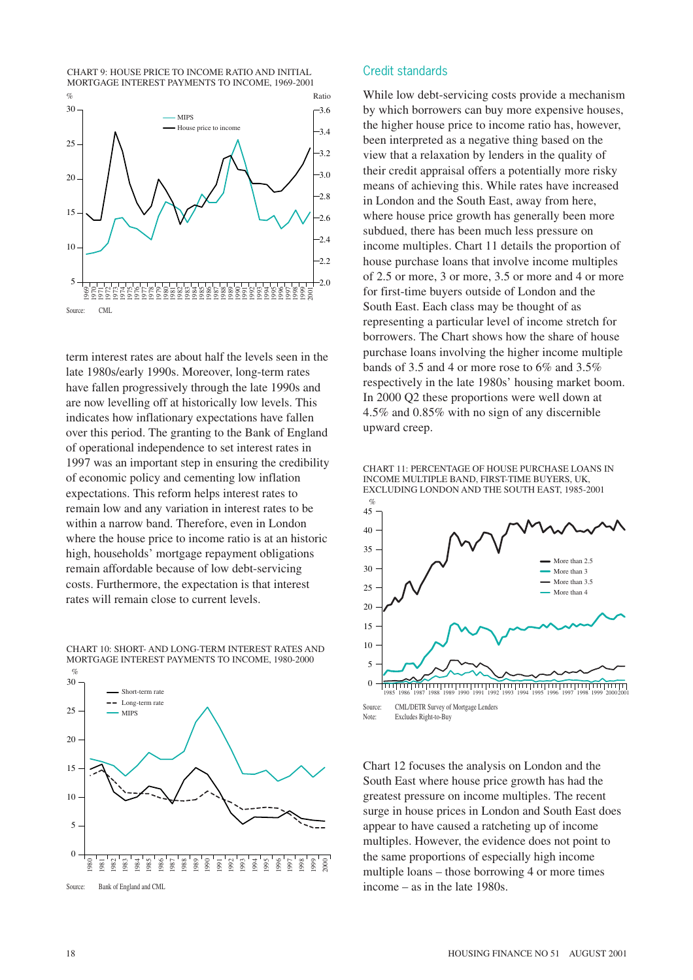CHART 9: HOUSE PRICE TO INCOME RATIO AND INITIAL MORTGAGE INTEREST PAYMENTS TO INCOME, 1969-2001



term interest rates are about half the levels seen in the late 1980s/early 1990s. Moreover, long-term rates have fallen progressively through the late 1990s and are now levelling off at historically low levels. This indicates how inflationary expectations have fallen over this period. The granting to the Bank of England of operational independence to set interest rates in 1997 was an important step in ensuring the credibility of economic policy and cementing low inflation expectations. This reform helps interest rates to remain low and any variation in interest rates to be within a narrow band. Therefore, even in London where the house price to income ratio is at an historic high, households' mortgage repayment obligations remain affordable because of low debt-servicing costs. Furthermore, the expectation is that interest rates will remain close to current levels.

CHART 10: SHORT- AND LONG-TERM INTEREST RATES AND MORTGAGE INTEREST PAYMENTS TO INCOME, 1980-2000



#### Credit standards

While low debt-servicing costs provide a mechanism by which borrowers can buy more expensive houses, the higher house price to income ratio has, however, been interpreted as a negative thing based on the view that a relaxation by lenders in the quality of their credit appraisal offers a potentially more risky means of achieving this. While rates have increased in London and the South East, away from here, where house price growth has generally been more subdued, there has been much less pressure on income multiples. Chart 11 details the proportion of house purchase loans that involve income multiples of 2.5 or more, 3 or more, 3.5 or more and 4 or more for first-time buyers outside of London and the South East. Each class may be thought of as representing a particular level of income stretch for borrowers. The Chart shows how the share of house purchase loans involving the higher income multiple bands of 3.5 and 4 or more rose to 6% and 3.5% respectively in the late 1980s' housing market boom. In 2000 Q2 these proportions were well down at 4.5% and 0.85% with no sign of any discernible upward creep.

CHART 11: PERCENTAGE OF HOUSE PURCHASE LOANS IN INCOME MULTIPLE BAND, FIRST-TIME BUYERS, UK, EXCLUDING LONDON AND THE SOUTH EAST, 1985-2001



Note: Excludes Right-to-Buy

Chart 12 focuses the analysis on London and the South East where house price growth has had the greatest pressure on income multiples. The recent surge in house prices in London and South East does appear to have caused a ratcheting up of income multiples. However, the evidence does not point to the same proportions of especially high income multiple loans – those borrowing 4 or more times income – as in the late 1980s.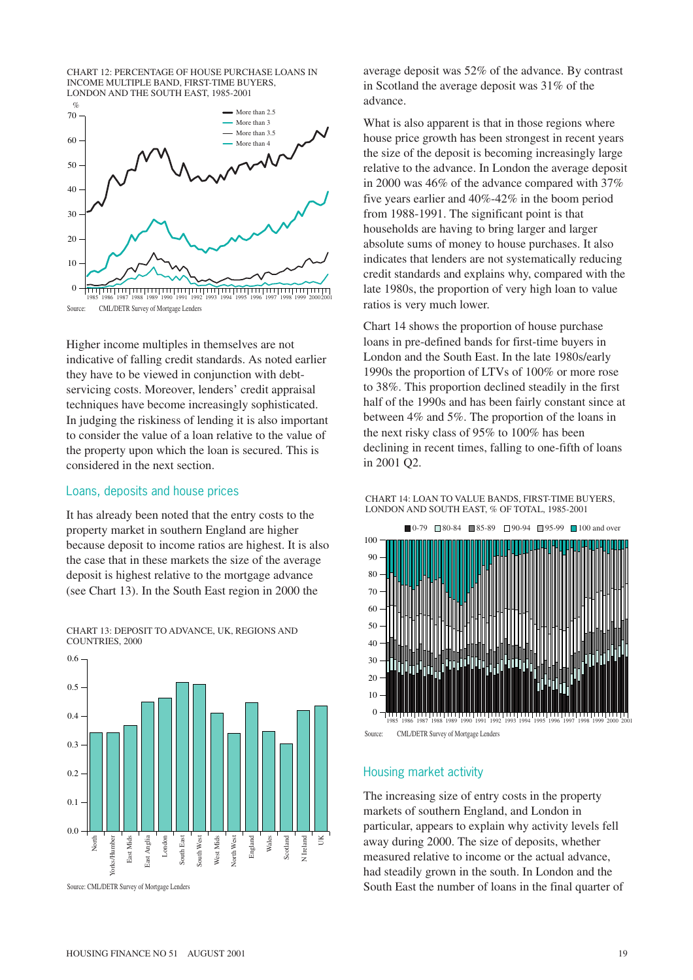



Higher income multiples in themselves are not indicative of falling credit standards. As noted earlier they have to be viewed in conjunction with debtservicing costs. Moreover, lenders' credit appraisal techniques have become increasingly sophisticated. In judging the riskiness of lending it is also important to consider the value of a loan relative to the value of the property upon which the loan is secured. This is considered in the next section.

#### Loans, deposits and house prices

It has already been noted that the entry costs to the property market in southern England are higher because deposit to income ratios are highest. It is also the case that in these markets the size of the average deposit is highest relative to the mortgage advance (see Chart 13). In the South East region in 2000 the

0.6  $0.5$ 0.4 0.3 0.2  $0.1$  $0.0$ England Yorks/Humber Mids East Anglia East South East South West South West North West North West UK East Mids ast Anglia London West Mids West Mids Wales Scotland Irel<sub>and</sub> Yorks/Humbe North South 1 East

Source: CML/DETR Survey of Mortgage Lenders

average deposit was 52% of the advance. By contrast in Scotland the average deposit was 31% of the advance.

What is also apparent is that in those regions where house price growth has been strongest in recent years the size of the deposit is becoming increasingly large relative to the advance. In London the average deposit in 2000 was 46% of the advance compared with 37% five years earlier and 40%-42% in the boom period from 1988-1991. The significant point is that households are having to bring larger and larger absolute sums of money to house purchases. It also indicates that lenders are not systematically reducing credit standards and explains why, compared with the late 1980s, the proportion of very high loan to value ratios is very much lower.

Chart 14 shows the proportion of house purchase loans in pre-defined bands for first-time buyers in London and the South East. In the late 1980s/early 1990s the proportion of LTVs of 100% or more rose to 38%. This proportion declined steadily in the first half of the 1990s and has been fairly constant since at between 4% and 5%. The proportion of the loans in the next risky class of 95% to 100% has been declining in recent times, falling to one-fifth of loans in 2001 Q2.





Source: CML/DETR Survey of Mortgage Lenders

### Housing market activity

The increasing size of entry costs in the property markets of southern England, and London in particular, appears to explain why activity levels fell away during 2000. The size of deposits, whether measured relative to income or the actual advance, had steadily grown in the south. In London and the South East the number of loans in the final quarter of

CHART 13: DEPOSIT TO ADVANCE, UK, REGIONS AND COUNTRIES, 2000